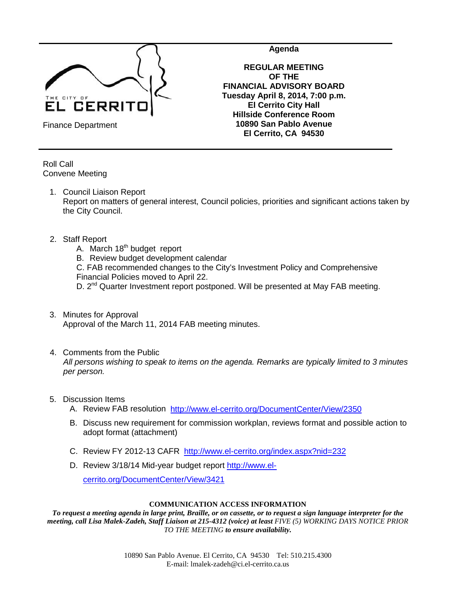

**Agenda**

**REGULAR MEETING OF THE FINANCIAL ADVISORY BOARD Tuesday April 8, 2014, 7:00 p.m. El Cerrito City Hall Hillside Conference Room 10890 San Pablo Avenue El Cerrito, CA 94530**

Finance Department

Roll Call Convene Meeting

1. Council Liaison Report

Report on matters of general interest, Council policies, priorities and significant actions taken by the City Council.

### 2. Staff Report

A. March  $18<sup>th</sup>$  budget report

B. Review budget development calendar

C. FAB recommended changes to the City's Investment Policy and Comprehensive Financial Policies moved to April 22.

D. 2<sup>nd</sup> Quarter Investment report postponed. Will be presented at May FAB meeting.

- 3. Minutes for Approval Approval of the March 11, 2014 FAB meeting minutes.
- 4. Comments from the Public *All persons wishing to speak to items on the agenda. Remarks are typically limited to 3 minutes per person.*
- 5. Discussion Items
	- A. Review FAB resolution <http://www.el-cerrito.org/DocumentCenter/View/2350>
	- B. Discuss new requirement for commission workplan, reviews format and possible action to adopt format (attachment)
	- C. Review FY 2012-13 CAFR <http://www.el-cerrito.org/index.aspx?nid=232>
	- D. Review 3/18/14 Mid-year budget report [http://www.el-](http://www.el-cerrito.org/DocumentCenter/View/3421)

[cerrito.org/DocumentCenter/View/3421](http://www.el-cerrito.org/DocumentCenter/View/3421)

#### **COMMUNICATION ACCESS INFORMATION**

*To request a meeting agenda in large print, Braille, or on cassette, or to request a sign language interpreter for the meeting, call Lisa Malek-Zadeh, Staff Liaison at 215-4312 (voice) at least FIVE (5) WORKING DAYS NOTICE PRIOR TO THE MEETING to ensure availability.*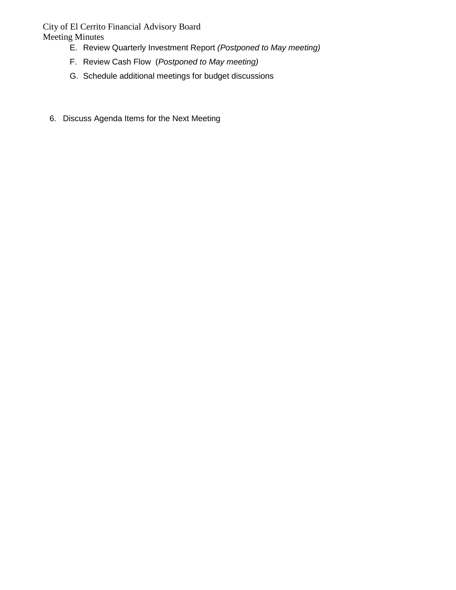City of El Cerrito Financial Advisory Board Meeting Minutes

- E. Review Quarterly Investment Report *(Postponed to May meeting)*
- F. Review Cash Flow (*Postponed to May meeting)*
- G. Schedule additional meetings for budget discussions
- 6. Discuss Agenda Items for the Next Meeting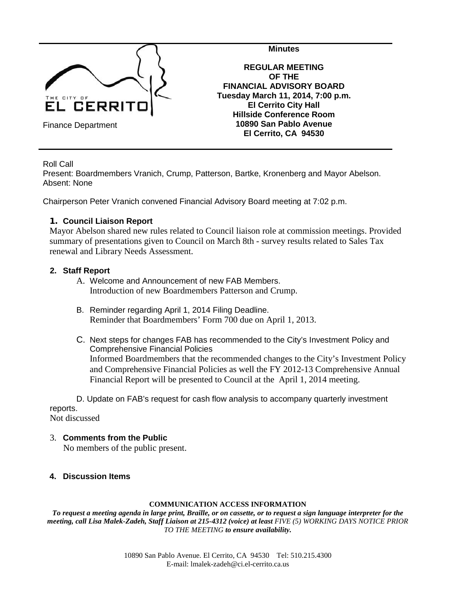

**Minutes**

**REGULAR MEETING OF THE FINANCIAL ADVISORY BOARD Tuesday March 11, 2014, 7:00 p.m. El Cerrito City Hall Hillside Conference Room 10890 San Pablo Avenue El Cerrito, CA 94530**

Roll Call

Present: Boardmembers Vranich, Crump, Patterson, Bartke, Kronenberg and Mayor Abelson. Absent: None

Chairperson Peter Vranich convened Financial Advisory Board meeting at 7:02 p.m.

### **1. Council Liaison Report**

Mayor Abelson shared new rules related to Council liaison role at commission meetings. Provided summary of presentations given to Council on March 8th - survey results related to Sales Tax renewal and Library Needs Assessment.

### **2. Staff Report**

- A. Welcome and Announcement of new FAB Members. Introduction of new Boardmembers Patterson and Crump.
- B. Reminder regarding April 1, 2014 Filing Deadline. Reminder that Boardmembers' Form 700 due on April 1, 2013.
- C. Next steps for changes FAB has recommended to the City's Investment Policy and Comprehensive Financial Policies Informed Boardmembers that the recommended changes to the City's Investment Policy and Comprehensive Financial Policies as well the FY 2012-13 Comprehensive Annual Financial Report will be presented to Council at the April 1, 2014 meeting.

D. Update on FAB's request for cash flow analysis to accompany quarterly investment reports.

Not discussed

- 3. **Comments from the Public**  No members of the public present.
- **4. Discussion Items**

#### **COMMUNICATION ACCESS INFORMATION**

*To request a meeting agenda in large print, Braille, or on cassette, or to request a sign language interpreter for the meeting, call Lisa Malek-Zadeh, Staff Liaison at 215-4312 (voice) at least FIVE (5) WORKING DAYS NOTICE PRIOR TO THE MEETING to ensure availability.*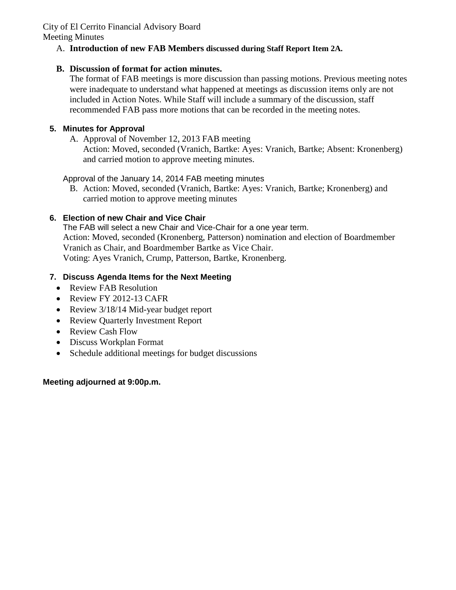# A. **Introduction of new FAB Members discussed during Staff Report Item 2A.**

## **B. Discussion of format for action minutes.**

The format of FAB meetings is more discussion than passing motions. Previous meeting notes were inadequate to understand what happened at meetings as discussion items only are not included in Action Notes. While Staff will include a summary of the discussion, staff recommended FAB pass more motions that can be recorded in the meeting notes.

## **5. Minutes for Approval**

A. Approval of November 12, 2013 FAB meeting

Action: Moved, seconded (Vranich, Bartke: Ayes: Vranich, Bartke; Absent: Kronenberg) and carried motion to approve meeting minutes.

Approval of the January 14, 2014 FAB meeting minutes

B. Action: Moved, seconded (Vranich, Bartke: Ayes: Vranich, Bartke; Kronenberg) and carried motion to approve meeting minutes

# **6. Election of new Chair and Vice Chair**

The FAB will select a new Chair and Vice-Chair for a one year term. Action: Moved, seconded (Kronenberg, Patterson) nomination and election of Boardmember Vranich as Chair, and Boardmember Bartke as Vice Chair. Voting: Ayes Vranich, Crump, Patterson, Bartke, Kronenberg.

## **7. Discuss Agenda Items for the Next Meeting**

- Review FAB Resolution
- Review FY 2012-13 CAFR
- Review 3/18/14 Mid-year budget report
- Review Quarterly Investment Report
- Review Cash Flow
- Discuss Workplan Format
- Schedule additional meetings for budget discussions

## **Meeting adjourned at 9:00p.m.**